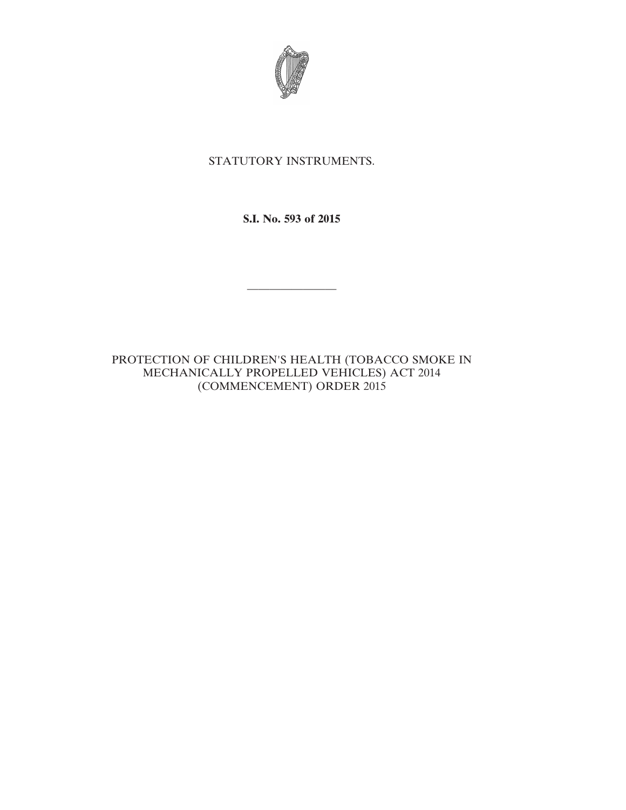

## STATUTORY INSTRUMENTS.

**S.I. No. 593 of 2015**

————————

PROTECTION OF CHILDREN'S HEALTH (TOBACCO SMOKE IN MECHANICALLY PROPELLED VEHICLES) ACT 2014 (COMMENCEMENT) ORDER 2015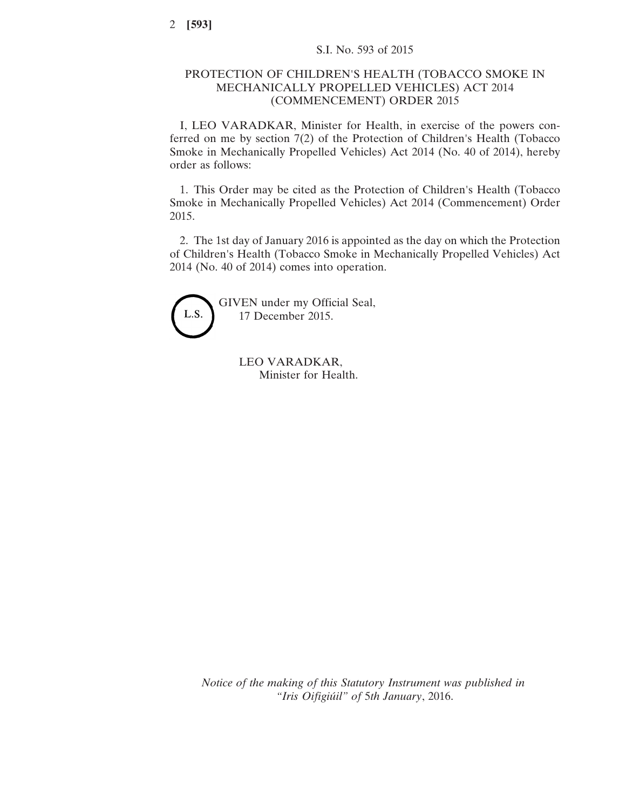## PROTECTION OF CHILDREN'S HEALTH (TOBACCO SMOKE IN MECHANICALLY PROPELLED VEHICLES) ACT 2014 (COMMENCEMENT) ORDER 2015

I, LEO VARADKAR, Minister for Health, in exercise of the powers conferred on me by section 7(2) of the Protection of Children's Health (Tobacco Smoke in Mechanically Propelled Vehicles) Act 2014 (No. 40 of 2014), hereby order as follows:

1. This Order may be cited as the Protection of Children's Health (Tobacco Smoke in Mechanically Propelled Vehicles) Act 2014 (Commencement) Order 2015.

2. The 1st day of January 2016 is appointed as the day on which the Protection of Children's Health (Tobacco Smoke in Mechanically Propelled Vehicles) Act 2014 (No. 40 of 2014) comes into operation.



GIVEN under my Official Seal, 17 December 2015.

> LEO VARADKAR, Minister for Health.

*Notice of the making of this Statutory Instrument was published in "Iris Oifigiúil" of* 5*th January*, 2016.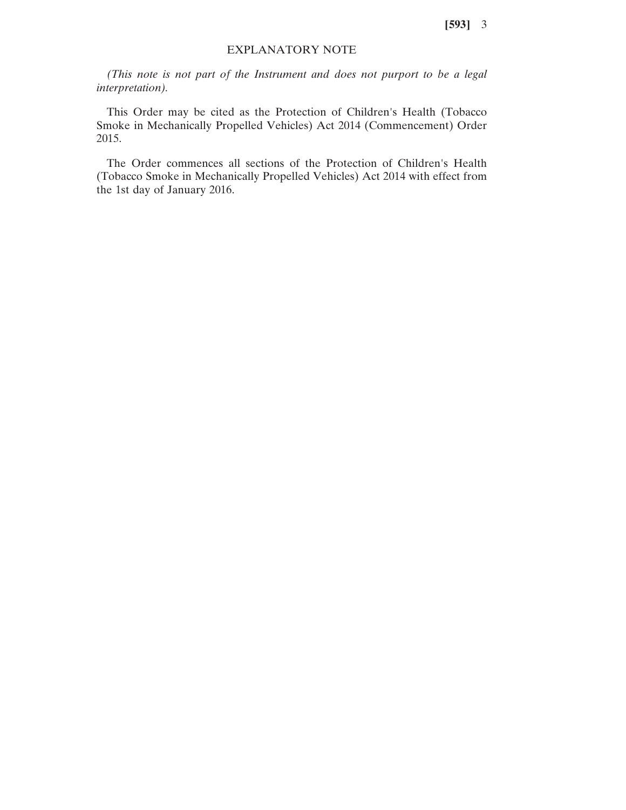**[593]** 3

## EXPLANATORY NOTE

*(This note is not part of the Instrument and does not purport to be a legal interpretation).*

This Order may be cited as the Protection of Children's Health (Tobacco Smoke in Mechanically Propelled Vehicles) Act 2014 (Commencement) Order 2015.

The Order commences all sections of the Protection of Children's Health (Tobacco Smoke in Mechanically Propelled Vehicles) Act 2014 with effect from the 1st day of January 2016.